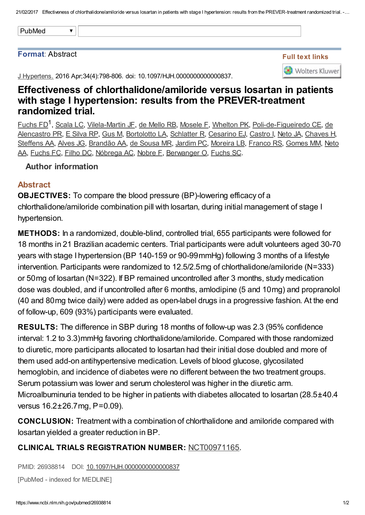#### Format: Abstract

J Hypertens. 2016 Apr;34(4):798-806. doi: 10.1097/HJH.0000000000000837.

# Effectiveness of chlorthalidone/amiloride versus losartan in patients with stage I hypertension: results from the PREVER-treatment randomized trial.

[Fuchs](https://www.ncbi.nlm.nih.gov/pubmed/?term=Fuchs%20FD%5BAuthor%5D&cauthor=true&cauthor_uid=26938814) FD<sup>1</sup>, [Scala](https://www.ncbi.nlm.nih.gov/pubmed/?term=Scala%20LC%5BAuthor%5D&cauthor=true&cauthor_uid=26938814) LC, [Vilela-Martin](https://www.ncbi.nlm.nih.gov/pubmed/?term=Vilela-Martin%20JF%5BAuthor%5D&cauthor=true&cauthor_uid=26938814) JF, de [Mello](https://www.ncbi.nlm.nih.gov/pubmed/?term=de%20Mello%20RB%5BAuthor%5D&cauthor=true&cauthor_uid=26938814) RB, [Mosele](https://www.ncbi.nlm.nih.gov/pubmed/?term=Mosele%20F%5BAuthor%5D&cauthor=true&cauthor_uid=26938814) F, [Whelton](https://www.ncbi.nlm.nih.gov/pubmed/?term=Whelton%20PK%5BAuthor%5D&cauthor=true&cauthor_uid=26938814) [P](https://www.ncbi.nlm.nih.gov/pubmed/?term=de%20Alencastro%20PR%5BAuthor%5D&cauthor=true&cauthor_uid=26938814)K, P[oli-de-Figueiredo](https://www.ncbi.nlm.nih.gov/pubmed/?term=Poli-de-Figueiredo%20CE%5BAuthor%5D&cauthor=true&cauthor_uid=26938814) CE, de Alencastro PR, E [Silva](https://www.ncbi.nlm.nih.gov/pubmed/?term=E%20Silva%20RP%5BAuthor%5D&cauthor=true&cauthor_uid=26938814) RP, [Gus](https://www.ncbi.nlm.nih.gov/pubmed/?term=Gus%20M%5BAuthor%5D&cauthor=true&cauthor_uid=26938814) M, [Bortolotto](https://www.ncbi.nlm.nih.gov/pubmed/?term=Bortolotto%20LA%5BAuthor%5D&cauthor=true&cauthor_uid=26938814) LA, [Schlatter](https://www.ncbi.nlm.nih.gov/pubmed/?term=Schlatter%20R%5BAuthor%5D&cauthor=true&cauthor_uid=26938814) R, [Cesarino](https://www.ncbi.nlm.nih.gov/pubmed/?term=Cesarino%20EJ%5BAuthor%5D&cauthor=true&cauthor_uid=26938814) EJ, [Castro](https://www.ncbi.nlm.nih.gov/pubmed/?term=Castro%20I%5BAuthor%5D&cauthor=true&cauthor_uid=26938814) I, [Neto](https://www.ncbi.nlm.nih.gov/pubmed/?term=Neto%20JA%5BAuthor%5D&cauthor=true&cauthor_uid=26938814) JA, [Chaves](https://www.ncbi.nlm.nih.gov/pubmed/?term=Chaves%20H%5BAuthor%5D&cauthor=true&cauthor_uid=26938814) H, [Steffens](https://www.ncbi.nlm.nih.gov/pubmed/?term=Steffens%20AA%5BAuthor%5D&cauthor=true&cauthor_uid=26938814) AA, [Alves](https://www.ncbi.nlm.nih.gov/pubmed/?term=Alves%20JG%5BAuthor%5D&cauthor=true&cauthor_uid=26938814) JG, [Brandão](https://www.ncbi.nlm.nih.gov/pubmed/?term=Brand%C3%A3o%20AA%5BAuthor%5D&cauthor=true&cauthor_uid=26938814) AA, de [Sousa](https://www.ncbi.nlm.nih.gov/pubmed/?term=de%20Sousa%20MR%5BAuthor%5D&cauthor=true&cauthor_uid=26938814) MR, [Jardim](https://www.ncbi.nlm.nih.gov/pubmed/?term=Jardim%20PC%5BAuthor%5D&cauthor=true&cauthor_uid=26938814) PC, [Moreira](https://www.ncbi.nlm.nih.gov/pubmed/?term=Moreira%20LB%5BAuthor%5D&cauthor=true&cauthor_uid=26938814) LB, [Franco](https://www.ncbi.nlm.nih.gov/pubmed/?term=Franco%20RS%5BAuthor%5D&cauthor=true&cauthor_uid=26938814) RS, [Gomes](https://www.ncbi.nlm.nih.gov/pubmed/?term=Gomes%20MM%5BAuthor%5D&cauthor=true&cauthor_uid=26938814) MM, Neto AA, [Fuchs](https://www.ncbi.nlm.nih.gov/pubmed/?term=Fuchs%20FC%5BAuthor%5D&cauthor=true&cauthor_uid=26938814) FC, [Filho](https://www.ncbi.nlm.nih.gov/pubmed/?term=Filho%20DC%5BAuthor%5D&cauthor=true&cauthor_uid=26938814) DC, [Nóbrega](https://www.ncbi.nlm.nih.gov/pubmed/?term=N%C3%B3brega%20AC%5BAuthor%5D&cauthor=true&cauthor_uid=26938814) AC, [Nobre](https://www.ncbi.nlm.nih.gov/pubmed/?term=Nobre%20F%5BAuthor%5D&cauthor=true&cauthor_uid=26938814) F, [Berwanger](https://www.ncbi.nlm.nih.gov/pubmed/?term=Neto%20AA%5BAuthor%5D&cauthor=true&cauthor_uid=26938814) O, [Fuchs](https://www.ncbi.nlm.nih.gov/pubmed/?term=Fuchs%20SC%5BAuthor%5D&cauthor=true&cauthor_uid=26938814) SC.

### Author information

### Abstract

OBJECTIVES: To compare the blood pressure (BP)-lowering efficacy of a chlorthalidone/amiloride combination pill with losartan, during initial management of stage I hypertension.

METHODS: In a randomized, double-blind, controlled trial, 655 participants were followed for 18 months in 21 Brazilian academic centers. Trial participants were adult volunteers aged 30-70 years with stage I hypertension (BP 140-159 or 90-99mmHg) following 3 months of a lifestyle intervention. Participants were randomized to 12.5/2.5mg of chlorthalidone/amiloride (N=333) or 50mg of losartan (N=322). If BP remained uncontrolled after 3 months, study medication dose was doubled, and if uncontrolled after 6 months, amlodipine (5 and 10mg) and propranolol (40 and 80mg twice daily) were added as open-label drugs in a progressive fashion. At the end of follow-up, 609 (93%) participants were evaluated.

RESULTS: The difference in SBP during 18 months of follow-up was 2.3 (95% confidence interval: 1.2 to 3.3)mmHg favoring chlorthalidone/amiloride. Compared with those randomized to diuretic, more participants allocated to losartan had their initial dose doubled and more of them used add-on antihypertensive medication. Levels of blood glucose, glycosilated hemoglobin, and incidence of diabetes were no different between the two treatment groups. Serum potassium was lower and serum cholesterol was higher in the diuretic arm. Microalbuminuria tended to be higher in patients with diabetes allocated to losartan (28.5±40.4 versus 16.2±26.7mg, P=0.09).

CONCLUSION: Treatment with a combination of chlorthalidone and amiloride compared with losartan yielded a greater reduction in BP.

## CLINICAL TRIALS REGISTRATION NUMBER: [NCT00971165.](http://clinicaltrials.gov/show/NCT00971165)

PMID: 26938814 DOI: [10.1097/HJH.0000000000000837](https://dx.doi.org/10.1097/HJH.0000000000000837)

[PubMed - indexed for MEDLINE]

Full text links

**Wolters Kluwer**